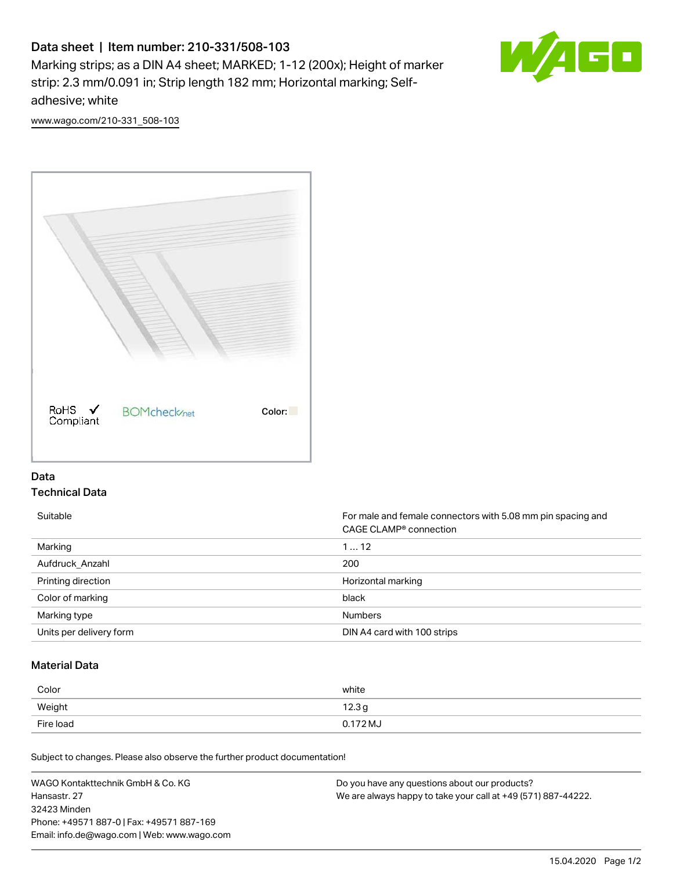# Data sheet | Item number: 210-331/508-103

Marking strips; as a DIN A4 sheet; MARKED; 1-12 (200x); Height of marker strip: 2.3 mm/0.091 in; Strip length 182 mm; Horizontal marking; Selfadhesive; white



[www.wago.com/210-331\\_508-103](http://www.wago.com/210-331_508-103)



## Data Technical Data

Suitable **Formale and female connectors with 5.08 mm pin spacing and female connectors with 5.08 mm pin spacing and** CAGE CLAMP® connection Marking 1 … 12 Aufdruck\_Anzahl 200 Printing direction **Exercise 2.1 Contract of the United States** Horizontal marking Color of marking black Marking type **Numbers** Numbers Units per delivery form **DIN A4 card with 100 strips** 

# Material Data

| Color     | white             |
|-----------|-------------------|
| Weight    | 12.3 <sub>g</sub> |
| Fire load | 0.172 MJ          |

Subject to changes. Please also observe the further product documentation!

WAGO Kontakttechnik GmbH & Co. KG Hansastr. 27 32423 Minden Phone: +49571 887-0 | Fax: +49571 887-169 Email: info.de@wago.com | Web: www.wago.com Do you have any questions about our products? We are always happy to take your call at +49 (571) 887-44222.